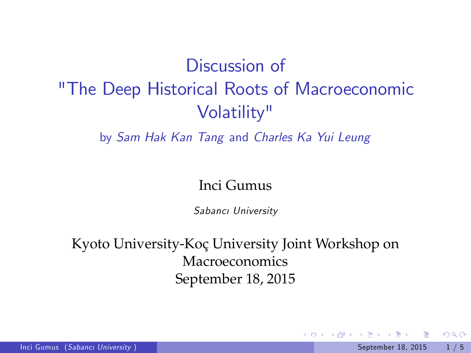# Discussion of "The Deep Historical Roots of Macroeconomic Volatility"

by Sam Hak Kan Tang and Charles Ka Yui Leung

#### Inci Gumus

Sabancı University

Kyoto University-Koç University Joint Workshop on Macroeconomics September 18, 2015

4 日下

 $\Omega$ 

 $\mathcal{A} \cap \mathbb{P} \rightarrow \mathcal{A} \supseteq \mathcal{A} \rightarrow \mathcal{A} \supseteq \mathcal{A}$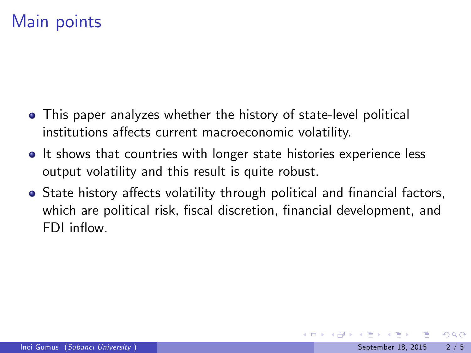## Main points

- This paper analyzes whether the history of state-level political institutions affects current macroeconomic volatility.
- It shows that countries with longer state histories experience less output volatility and this result is quite robust.
- State history affects volatility through political and financial factors, which are political risk, fiscal discretion, financial development, and FDI inflow.

 $\Omega$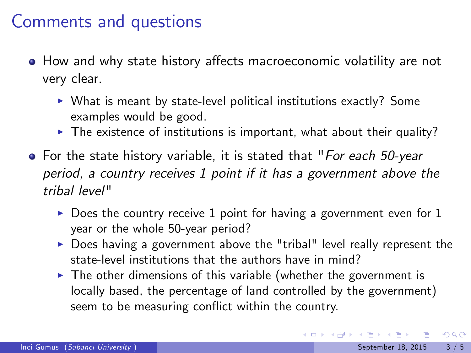### Comments and questions

- How and why state history affects macroeconomic volatility are not very clear.
	- $\triangleright$  What is meant by state-level political institutions exactly? Some examples would be good.
	- $\blacktriangleright$  The existence of institutions is important, what about their quality?
- For the state history variable, it is stated that "For each 50-year period, a country receives 1 point if it has a government above the tribal level"
	- $\triangleright$  Does the country receive 1 point for having a government even for 1 year or the whole 50-year period?
	- $\triangleright$  Does having a government above the "tribal" level really represent the state-level institutions that the authors have in mind?
	- $\triangleright$  The other dimensions of this variable (whether the government is locally based, the percentage of land controlled by the government) seem to be measuring conflict within the country.

- 3

 $QQ$ 

イロト イ部 トイヨ トイヨト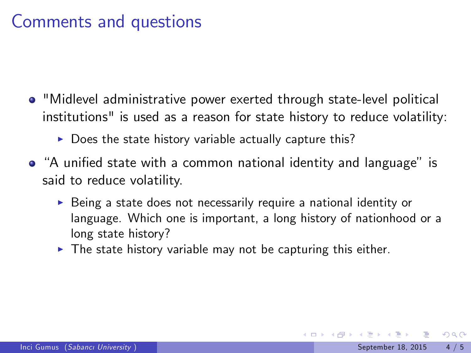# Comments and questions

- "Midlevel administrative power exerted through state-level political institutions" is used as a reason for state history to reduce volatility:
	- $\triangleright$  Does the state history variable actually capture this?
- "A unified state with a common national identity and language" is said to reduce volatility.
	- $\triangleright$  Being a state does not necessarily require a national identity or language. Which one is important, a long history of nationhood or a long state history?
	- $\triangleright$  The state history variable may not be capturing this either.

 $\Omega$ 

→ 何 ト → ヨ ト → ヨ ト

4 0 8